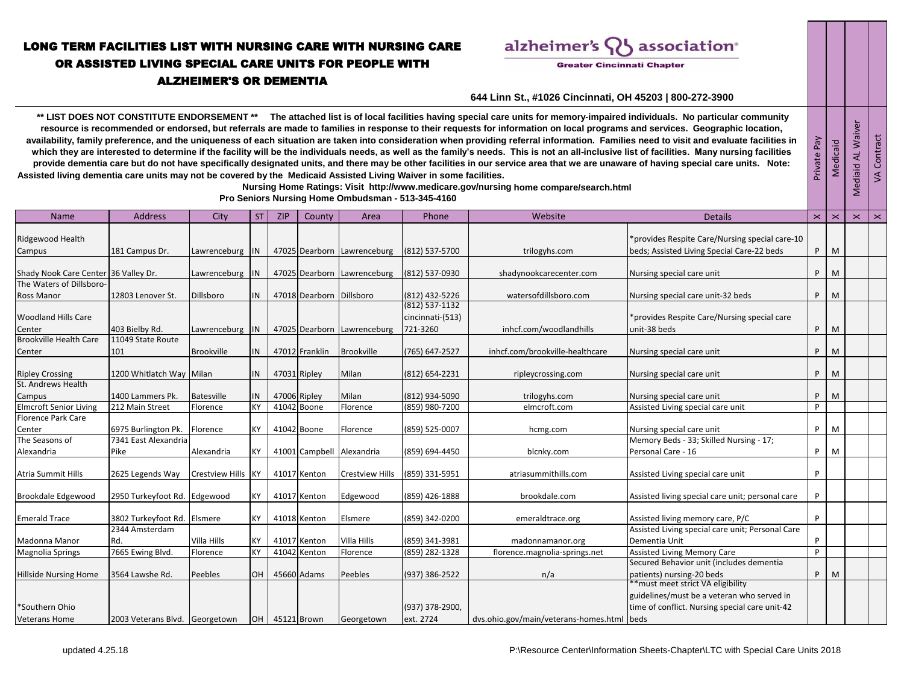## LONG TERM FACILITIES LIST WITH NURSING CARE WITH NURSING CARE OR ASSISTED LIVING SPECIAL CARE UNITS FOR PEOPLE WITH ALZHEIMER'S OR DEMENTIA

alzheimer's association®

**Greater Cincinnati Chapter** 

Private Pay Medicaid Mediaid AL Waiver VA Contract

Mediaid AL Waiver

## **644 Linn St., #1026 Cincinnati, OH 45203 | 800-272-3900**

\*\* LIST DOES NOT CONSTITUTE ENDORSEMENT<sup>\*\*</sup> The attached list is of local facilities having special care units for memory-impaired individuals. No particular community **resource is recommended or endorsed, but referrals are made to families in response to their requests for information on local programs and services. Geographic location, availability, family preference, and the uniqueness of each situation are taken into consideration when providing referral information. Families need to visit and evaluate facilities in**  which they are interested to determine if the facility will be the individuals needs, as well as the family's needs. This is not an all-inclusive list of facilities. Many nursing facilities provide dementia care but do not have specifically designated units, and there may be other facilities in our service area that we are unaware of having special care units. Note: **Assisted living dementia care units may not be covered by the Medicaid Assisted Living Waiver in some facilities.** 

 **Nursing Home Ratings: Visit http://www.medicare.gov/nursing home compare/search.html** 

 **Pro Seniors Nursing Home Ombudsman - 513-345-4160**

| <b>Name</b>                          | <b>Address</b>                 | City               | ST.             | <b>ZIP</b> | County                   | Area                        | Phone              | Website                                    | <b>Details</b>                                   | $\mathbf{\times}$ | $\mathbf{\times}$ | $\mathbf{\times}$ | $\mathbf{\times}$ |
|--------------------------------------|--------------------------------|--------------------|-----------------|------------|--------------------------|-----------------------------|--------------------|--------------------------------------------|--------------------------------------------------|-------------------|-------------------|-------------------|-------------------|
|                                      |                                |                    |                 |            |                          |                             |                    |                                            |                                                  |                   |                   |                   |                   |
| Ridgewood Health                     |                                |                    |                 |            |                          |                             |                    |                                            | *provides Respite Care/Nursing special care-10   |                   |                   |                   |                   |
| Campus                               | 181 Campus Dr.                 | Lawrenceburg IN    |                 |            |                          | 47025 Dearborn Lawrenceburg | (812) 537-5700     | trilogyhs.com                              | beds; Assisted Living Special Care-22 beds       | P                 | M                 |                   |                   |
| Shady Nook Care Center 36 Valley Dr. |                                | Lawrenceburg IN    |                 |            |                          | 47025 Dearborn Lawrenceburg | (812) 537-0930     | shadynookcarecenter.com                    | Nursing special care unit                        | P                 | M                 |                   |                   |
| The Waters of Dillsboro-             |                                |                    |                 |            |                          |                             |                    |                                            |                                                  |                   |                   |                   |                   |
| <b>Ross Manor</b>                    | 12803 Lenover St.              | Dillsboro          | IN              |            | 47018 Dearborn Dillsboro |                             | (812) 432-5226     | watersofdillsboro.com                      | Nursing special care unit-32 beds                | P                 | M                 |                   |                   |
|                                      |                                |                    |                 |            |                          |                             | $(812) 537 - 1132$ |                                            |                                                  |                   |                   |                   |                   |
| <b>Woodland Hills Care</b>           |                                |                    |                 |            |                          |                             | cincinnati-(513)   |                                            | *provides Respite Care/Nursing special care      |                   |                   |                   |                   |
| Center                               | 403 Bielby Rd.                 | Lawrenceburg IN    |                 |            |                          | 47025 Dearborn Lawrenceburg | 721-3260           | inhcf.com/woodlandhills                    | unit-38 beds                                     | P                 | M                 |                   |                   |
| <b>Brookville Health Care</b>        | 11049 State Route              |                    |                 |            |                          |                             |                    |                                            |                                                  |                   |                   |                   |                   |
| Center                               | 101                            | <b>Brookville</b>  | IN              |            | 47012 Franklin           | <b>Brookville</b>           | (765) 647-2527     | inhcf.com/brookville-healthcare            | Nursing special care unit                        | P                 | M                 |                   |                   |
| <b>Ripley Crossing</b>               | 1200 Whitlatch Way Milan       |                    | IN              |            | 47031 Ripley             | Milan                       | (812) 654-2231     | ripleycrossing.com                         | Nursing special care unit                        | P                 | M                 |                   |                   |
| St. Andrews Health                   |                                |                    |                 |            |                          |                             |                    |                                            |                                                  |                   |                   |                   |                   |
| Campus                               | 1400 Lammers Pk.               | <b>Batesville</b>  |                 |            | 47006 Ripley             | Milan                       | (812) 934-5090     | trilogyhs.com                              | Nursing special care unit                        | P                 | M                 |                   |                   |
| <b>Elmcroft Senior Living</b>        | 212 Main Street                | Florence           | KY              |            | 41042 Boone              | Florence                    | (859) 980-7200     | elmcroft.com                               | Assisted Living special care unit                | P                 |                   |                   |                   |
| Florence Park Care                   |                                |                    |                 |            |                          |                             |                    |                                            |                                                  |                   |                   |                   |                   |
| Center                               | 6975 Burlington Pk.            | Florence           | <b>KY</b>       |            | 41042 Boone              | Florence                    | (859) 525-0007     | hcmg.com                                   | Nursing special care unit                        | P                 | M                 |                   |                   |
| The Seasons of                       | 7341 East Alexandria           |                    |                 |            |                          |                             |                    |                                            | Memory Beds - 33; Skilled Nursing - 17;          |                   |                   |                   |                   |
| Alexandria                           | Pike                           | Alexandria         |                 |            |                          | 41001 Campbell Alexandria   | (859) 694-4450     | blcnky.com                                 | Personal Care - 16                               | P                 | M                 |                   |                   |
|                                      |                                |                    |                 |            |                          |                             |                    |                                            |                                                  |                   |                   |                   |                   |
| <b>Atria Summit Hills</b>            | 2625 Legends Way               | Crestview Hills KY |                 |            | 41017 Kenton             | <b>Crestview Hills</b>      | (859) 331-5951     | atriasummithills.com                       | Assisted Living special care unit                | P                 |                   |                   |                   |
| Brookdale Edgewood                   | 2950 Turkeyfoot Rd. Edgewood   |                    | KY              |            | 41017 Kenton             | Edgewood                    | (859) 426-1888     | brookdale.com                              | Assisted living special care unit; personal care | P                 |                   |                   |                   |
|                                      |                                |                    |                 |            |                          |                             |                    |                                            |                                                  |                   |                   |                   |                   |
| <b>Emerald Trace</b>                 | 3802 Turkeyfoot Rd. Elsmere    |                    | <b>KY</b>       |            | 41018 Kenton             | Elsmere                     | (859) 342-0200     | emeraldtrace.org                           | Assisted living memory care, P/C                 | P                 |                   |                   |                   |
|                                      | 2344 Amsterdam                 |                    |                 |            |                          |                             |                    |                                            | Assisted Living special care unit; Personal Care |                   |                   |                   |                   |
| Madonna Manor                        | Rd.                            | Villa Hills        |                 |            | 41017 Kenton             | Villa Hills                 | (859) 341-3981     | madonnamanor.org                           | Dementia Unit                                    | P                 |                   |                   |                   |
| <b>Magnolia Springs</b>              | 7665 Ewing Blvd.               | Florence           | <b>KY</b>       |            | 41042 Kenton             | Florence                    | (859) 282-1328     | florence.magnolia-springs.net              | <b>Assisted Living Memory Care</b>               | P                 |                   |                   |                   |
|                                      |                                |                    |                 |            |                          |                             |                    |                                            | Secured Behavior unit (includes dementia         |                   |                   |                   |                   |
| <b>Hillside Nursing Home</b>         | 3564 Lawshe Rd.                | Peebles            | <b>OH</b>       |            | 45660 Adams              | Peebles                     | (937) 386-2522     | n/a                                        | patients) nursing-20 beds                        | P                 | M                 |                   |                   |
|                                      |                                |                    |                 |            |                          |                             |                    |                                            | **must meet strict VA eligibility                |                   |                   |                   |                   |
|                                      |                                |                    |                 |            |                          |                             |                    |                                            | guidelines/must be a veteran who served in       |                   |                   |                   |                   |
| *Southern Ohio                       |                                |                    |                 |            |                          |                             | (937) 378-2900,    |                                            | time of conflict. Nursing special care unit-42   |                   |                   |                   |                   |
| <b>Veterans Home</b>                 | 2003 Veterans Blvd. Georgetown |                    | OH <sub>1</sub> |            | 45121 Brown              | Georgetown                  | ext. 2724          | dvs.ohio.gov/main/veterans-homes.html beds |                                                  |                   |                   |                   |                   |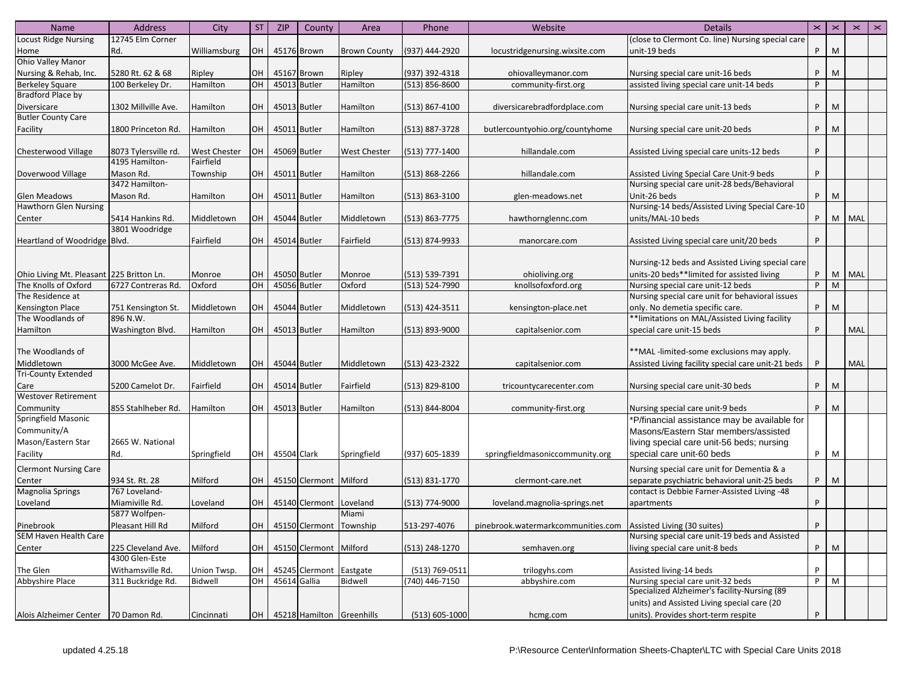| Name                                     | Address              | City                | <b>ST</b>       | <b>ZIP</b>   | County                      | Area                           | Phone              | Website                                                        | <b>Details</b>                                     | $\times$ | $\pmb{\times}$ | $\mathbf{\times}$ | $\mathbf{\times}$ |
|------------------------------------------|----------------------|---------------------|-----------------|--------------|-----------------------------|--------------------------------|--------------------|----------------------------------------------------------------|----------------------------------------------------|----------|----------------|-------------------|-------------------|
| <b>Locust Ridge Nursing</b>              | 12745 Elm Corner     |                     |                 |              |                             |                                |                    |                                                                | (close to Clermont Co. line) Nursing special care  |          |                |                   |                   |
| Home                                     | Rd.                  | Williamsburg        | OН              |              | 45176 Brown                 | <b>Brown County</b>            | (937) 444-2920     | locustridgenursing.wixsite.com                                 | unit-19 beds                                       | P        | M              |                   |                   |
| <b>Ohio Valley Manor</b>                 |                      |                     |                 |              |                             |                                |                    |                                                                |                                                    |          |                |                   |                   |
| Nursing & Rehab, Inc.                    | 5280 Rt. 62 & 68     | Ripley              | OH              |              | 45167 Brown                 | Ripley                         | (937) 392-4318     | ohiovalleymanor.com                                            | Nursing special care unit-16 beds                  | P        | M              |                   |                   |
| <b>Berkeley Square</b>                   | 100 Berkeley Dr.     | Hamilton            | OH              |              | 45013 Butler                | Hamilton                       | $(513)$ 856-8600   | community-first.org                                            | assisted living special care unit-14 beds          | P        |                |                   |                   |
| Bradford Place by                        |                      |                     |                 |              |                             |                                |                    |                                                                |                                                    |          |                |                   |                   |
| Diversicare                              | 1302 Millville Ave.  | Hamilton            | OH              |              | 45013 Butler                | Hamilton                       | $(513)$ 867-4100   | diversicarebradfordplace.com                                   | Nursing special care unit-13 beds                  | P        | M              |                   |                   |
| <b>Butler County Care</b>                |                      |                     |                 |              |                             |                                |                    |                                                                |                                                    |          |                |                   |                   |
| Facility                                 | 1800 Princeton Rd.   | Hamilton            | OH              |              | 45011 Butler                | Hamilton                       | (513) 887-3728     | butlercountyohio.org/countyhome                                | Nursing special care unit-20 beds                  | P        | M              |                   |                   |
|                                          |                      |                     |                 |              |                             |                                |                    |                                                                |                                                    |          |                |                   |                   |
| Chesterwood Village                      | 8073 Tylersville rd. | <b>West Chester</b> | OH              |              | 45069 Butler                | <b>West Chester</b>            | (513) 777-1400     | hillandale.com                                                 | Assisted Living special care units-12 beds         | P        |                |                   |                   |
|                                          | 4195 Hamilton-       | Fairfield           |                 |              |                             |                                |                    |                                                                |                                                    |          |                |                   |                   |
| Doverwood Village                        | Mason Rd.            | Township            | OH              |              | 45011 Butler                | Hamilton                       | $(513) 868 - 2266$ | hillandale.com                                                 | Assisted Living Special Care Unit-9 beds           | P        |                |                   |                   |
|                                          | 3472 Hamilton-       |                     |                 |              |                             |                                |                    |                                                                | Nursing special care unit-28 beds/Behavioral       |          |                |                   |                   |
| Glen Meadows                             | Mason Rd.            | Hamilton            | OH              |              | 45011 Butler                | Hamilton                       | (513) 863-3100     | glen-meadows.net                                               | Unit-26 beds                                       | P        | M              |                   |                   |
| <b>Hawthorn Glen Nursing</b>             |                      |                     |                 |              |                             |                                |                    |                                                                | Nursing-14 beds/Assisted Living Special Care-10    |          |                |                   |                   |
| Center                                   | 5414 Hankins Rd.     | Middletown          | OH              |              | 45044 Butler                | Middletown                     | (513) 863-7775     | hawthornglennc.com                                             | units/MAL-10 beds                                  | P.       |                | M   MAL           |                   |
|                                          | 3801 Woodridge       |                     |                 |              |                             |                                |                    |                                                                |                                                    |          |                |                   |                   |
| Heartland of Woodridge Blvd.             |                      | Fairfield           | OH              |              | 45014 Butler                | Fairfield                      | (513) 874-9933     | manorcare.com                                                  | Assisted Living special care unit/20 beds          | P        |                |                   |                   |
|                                          |                      |                     |                 |              |                             |                                |                    |                                                                |                                                    |          |                |                   |                   |
|                                          |                      |                     |                 |              |                             |                                |                    |                                                                | Nursing-12 beds and Assisted Living special care   |          |                |                   |                   |
| Ohio Living Mt. Pleasant 225 Britton Ln. |                      | Monroe              | <b>OH</b>       |              | 45050 Butler                | Monroe                         | (513) 539-7391     | ohioliving.org                                                 | units-20 beds**limited for assisted living         | P        |                | M   MAL           |                   |
| The Knolls of Oxford                     | 6727 Contreras Rd.   | Oxford              | OH              | 45056 Butler |                             | Oxford                         | (513) 524-7990     | knollsofoxford.org                                             | Nursing special care unit-12 beds                  | P        | M              |                   |                   |
| The Residence at                         |                      |                     |                 |              |                             |                                |                    |                                                                | Nursing special care unit for behavioral issues    |          |                |                   |                   |
| <b>Kensington Place</b>                  | 751 Kensington St.   | Middletown          | <b>OH</b>       |              | 45044 Butler                | Middletown                     | (513) 424-3511     | kensington-place.net                                           | only. No demetia specific care.                    | P        | M              |                   |                   |
| The Woodlands of                         | 896 N.W.             |                     |                 |              |                             |                                |                    |                                                                | ** limitations on MAL/Assisted Living facility     |          |                |                   |                   |
| Hamilton                                 | Washington Blvd.     | Hamilton            | OH              |              | 45013 Butler                | Hamilton                       | $(513)$ 893-9000   | capitalsenior.com                                              | special care unit-15 beds                          | P        |                | <b>MAL</b>        |                   |
|                                          |                      |                     |                 |              |                             |                                |                    |                                                                |                                                    |          |                |                   |                   |
| The Woodlands of                         |                      |                     |                 |              |                             |                                |                    |                                                                | **MAL-limited-some exclusions may apply.           |          |                |                   |                   |
| Middletown                               | 3000 McGee Ave.      | Middletown          | <b>OH</b>       |              | 45044 Butler                | Middletown                     | (513) 423-2322     | capitalsenior.com                                              | Assisted Living facility special care unit-21 beds | P        |                | MAL               |                   |
| <b>Tri-County Extended</b>               |                      |                     |                 |              |                             |                                |                    |                                                                |                                                    |          |                |                   |                   |
| Care                                     | 5200 Camelot Dr.     | Fairfield           | OH              | 45014 Butler |                             | Fairfield                      | (513) 829-8100     | tricountycarecenter.com                                        | Nursing special care unit-30 beds                  | P        | M              |                   |                   |
| <b>Westover Retirement</b>               |                      |                     |                 |              |                             |                                |                    |                                                                |                                                    |          |                |                   |                   |
| Community                                | 855 Stahlheber Rd.   | Hamilton            | OH              |              | 45013 Butler                | Hamilton                       | (513) 844-8004     | community-first.org                                            | Nursing special care unit-9 beds                   | P        | M              |                   |                   |
| Springfield Masonic                      |                      |                     |                 |              |                             |                                |                    |                                                                | *P/financial assistance may be available for       |          |                |                   |                   |
| Community/A                              |                      |                     |                 |              |                             |                                |                    |                                                                | Masons/Eastern Star members/assisted               |          |                |                   |                   |
| Mason/Eastern Star                       | 2665 W. National     |                     |                 |              |                             |                                |                    |                                                                | living special care unit-56 beds; nursing          |          |                |                   |                   |
| Facility                                 | Rd.                  | Springfield         | OH <sub>1</sub> | 45504 Clark  |                             | Springfield                    | (937) 605-1839     | springfieldmasoniccommunity.org                                | special care unit-60 beds                          | P        | M              |                   |                   |
| <b>Clermont Nursing Care</b>             |                      |                     |                 |              |                             |                                |                    |                                                                | Nursing special care unit for Dementia & a         |          |                |                   |                   |
| Center                                   | 934 St. Rt. 28       | Milford             | OH              |              | 45150 Clermont Milford      |                                | $(513) 831 - 1770$ | clermont-care.net                                              | separate psychiatric behavioral unit-25 beds       | P        | M              |                   |                   |
| <b>Magnolia Springs</b>                  | 767 Loveland-        |                     |                 |              |                             |                                |                    |                                                                | contact is Debbie Farner-Assisted Living -48       |          |                |                   |                   |
| Loveland                                 | Miamiville Rd.       | Loveland            | OH              |              | 45140 Clermont Loveland     |                                | (513) 774-9000     | loveland.magnolia-springs.net                                  | apartments                                         | P        |                |                   |                   |
|                                          | 5877 Wolfpen-        |                     |                 |              |                             | Miami                          |                    |                                                                |                                                    |          |                |                   |                   |
| Pinebrook                                | Pleasant Hill Rd     | Milford             | OH              |              | 45150 Clermont Township     |                                | 513-297-4076       | pinebrook.watermarkcommunities.com Assisted Living (30 suites) |                                                    | P        |                |                   |                   |
| SEM Haven Health Care                    |                      |                     |                 |              |                             |                                |                    |                                                                | Nursing special care unit-19 beds and Assisted     |          |                |                   |                   |
| Center                                   | 225 Cleveland Ave.   | Milford             |                 |              | OH   45150 Clermont Milford |                                | (513) 248-1270     | semhaven.org                                                   | living special care unit-8 beds                    |          | $P$ M          |                   |                   |
|                                          | 4300 Glen-Este       |                     |                 |              |                             |                                |                    |                                                                |                                                    |          |                |                   |                   |
| The Glen                                 | Withamsville Rd.     | Union Twsp.         | OH              |              | 45245 Clermont Eastgate     |                                | (513) 769-0511     | trilogyhs.com                                                  | Assisted living-14 beds                            | P        |                |                   |                   |
| Abbyshire Place                          | 311 Buckridge Rd.    | Bidwell             | OH              | 45614 Gallia |                             | Bidwell                        | (740) 446-7150     | abbyshire.com                                                  | Nursing special care unit-32 beds                  | P        | M              |                   |                   |
|                                          |                      |                     |                 |              |                             |                                |                    |                                                                | Specialized Alzheimer's facility-Nursing (89       |          |                |                   |                   |
|                                          |                      |                     |                 |              |                             |                                |                    |                                                                | units) and Assisted Living special care (20        |          |                |                   |                   |
| Alois Alzheimer Center                   | 70 Damon Rd.         | Cincinnati          |                 |              |                             | OH   45218 Hamilton Greenhills | $(513) 605 - 1000$ | hcmg.com                                                       | units). Provides short-term respite                | P        |                |                   |                   |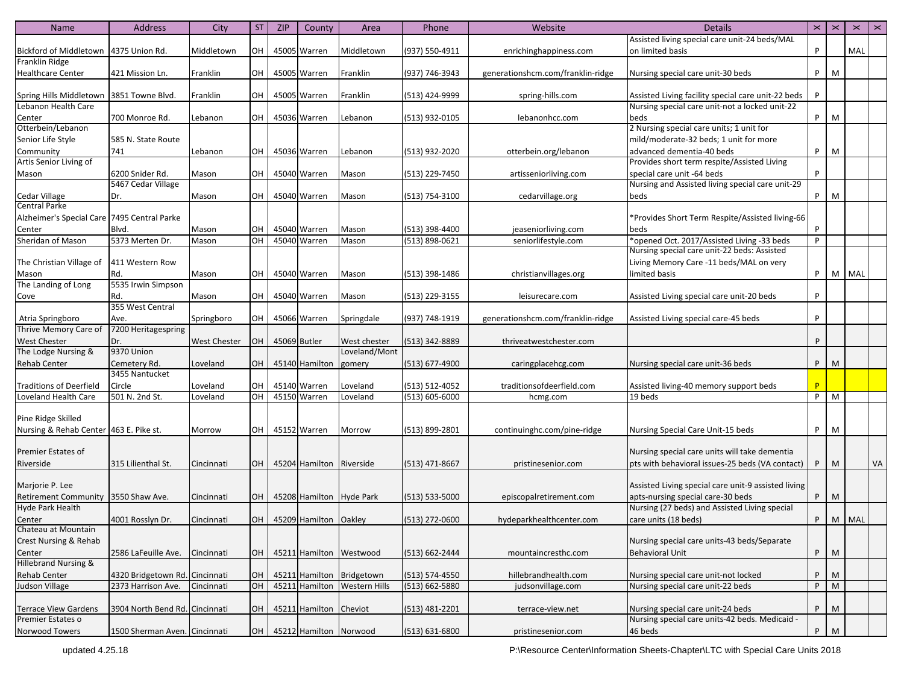| <b>Name</b>                            | <b>Address</b>                 | City                | <b>ST</b>       | <b>ZIP</b> | County                        | Area                            | Phone              | Website                           | <b>Details</b>                                      | $\pmb{\times}$ | $\times$ | $\pmb{\times}$ | $\pmb{\times}$ |
|----------------------------------------|--------------------------------|---------------------|-----------------|------------|-------------------------------|---------------------------------|--------------------|-----------------------------------|-----------------------------------------------------|----------------|----------|----------------|----------------|
|                                        |                                |                     |                 |            |                               |                                 |                    |                                   | Assisted living special care unit-24 beds/MAL       |                |          |                |                |
| Bickford of Middletown                 | 4375 Union Rd.                 | Middletown          | OH              |            | 45005 Warren                  | Middletown                      | (937) 550-4911     | enrichinghappiness.com            | on limited basis                                    | P              |          | MAL            |                |
| Franklin Ridge                         |                                |                     |                 |            |                               |                                 |                    |                                   |                                                     |                |          |                |                |
| <b>Healthcare Center</b>               | 421 Mission Ln.                | Franklin            | OH <sub>1</sub> |            | 45005 Warren                  | Franklin                        | (937) 746-3943     | generationshcm.com/franklin-ridge | Nursing special care unit-30 beds                   | P.             | M        |                |                |
|                                        |                                |                     |                 |            |                               |                                 |                    |                                   |                                                     |                |          |                |                |
| Spring Hills Middletown                | 3851 Towne Blvd.               | Franklin            | OH I            |            | 45005 Warren                  | Franklin                        | (513) 424-9999     | spring-hills.com                  | Assisted Living facility special care unit-22 beds  | P              |          |                |                |
| Lebanon Health Care                    |                                |                     |                 |            |                               |                                 |                    |                                   | Nursing special care unit-not a locked unit-22      |                |          |                |                |
| Center                                 | 700 Monroe Rd.                 | Lebanon             | OH              |            | 45036 Warren                  | Lebanon                         | (513) 932-0105     | lebanonhcc.com                    | beds                                                | P              | M        |                |                |
| Otterbein/Lebanon                      |                                |                     |                 |            |                               |                                 |                    |                                   | 2 Nursing special care units; 1 unit for            |                |          |                |                |
| Senior Life Style                      | 585 N. State Route             |                     |                 |            |                               |                                 |                    |                                   | mild/moderate-32 beds; 1 unit for more              |                |          |                |                |
| Community                              | 741                            | Lebanon             | OН              |            | 45036 Warren                  | Lebanon                         | (513) 932-2020     | otterbein.org/lebanon             | advanced dementia-40 beds                           | P              | M        |                |                |
| Artis Senior Living of                 |                                |                     |                 |            |                               |                                 |                    |                                   | Provides short term respite/Assisted Living         |                |          |                |                |
| Mason                                  | 6200 Snider Rd.                | Mason               | OH              |            | 45040 Warren                  | Mason                           | (513) 229-7450     | artisseniorliving.com             | special care unit -64 beds                          | P              |          |                |                |
|                                        | 5467 Cedar Village             |                     |                 |            |                               |                                 |                    |                                   | Nursing and Assisted living special care unit-29    |                |          |                |                |
| Cedar Village                          | Dr.                            | Mason               | OH              |            | 45040 Warren                  | Mason                           | (513) 754-3100     | cedarvillage.org                  | beds                                                | P              | M        |                |                |
| <b>Central Parke</b>                   |                                |                     |                 |            |                               |                                 |                    |                                   |                                                     |                |          |                |                |
| Alzheimer's Special Care               | 7495 Central Parke             |                     |                 |            |                               |                                 |                    |                                   | *Provides Short Term Respite/Assisted living-66     |                |          |                |                |
| Center                                 | Blvd.                          | Mason               | OH              |            | 45040 Warren                  | Mason                           | (513) 398-4400     | jeaseniorliving.com               | beds                                                | P              |          |                |                |
| Sheridan of Mason                      | 5373 Merten Dr.                | Mason               | OH              |            | 45040 Warren                  | Mason                           | (513) 898-0621     | seniorlifestyle.com               | *opened Oct. 2017/Assisted Living -33 beds          | P              |          |                |                |
|                                        |                                |                     |                 |            |                               |                                 |                    |                                   | Nursing special care unit-22 beds: Assisted         |                |          |                |                |
| The Christian Village of               | 411 Western Row                |                     |                 |            |                               |                                 |                    |                                   | Living Memory Care -11 beds/MAL on very             |                |          |                |                |
| Mason                                  | Rd.                            | Mason               | OН              |            | 45040 Warren                  | Mason                           | (513) 398-1486     | christianvillages.org             | limited basis                                       | P              |          | M MAL          |                |
| The Landing of Long                    | 5535 Irwin Simpson             |                     |                 |            |                               |                                 |                    |                                   |                                                     |                |          |                |                |
| Cove                                   | Rd.                            | Mason               | OH              |            | 45040 Warren                  | Mason                           | (513) 229-3155     | leisurecare.com                   | Assisted Living special care unit-20 beds           | P              |          |                |                |
|                                        | 355 West Central               |                     |                 |            |                               |                                 |                    |                                   |                                                     |                |          |                |                |
| Atria Springboro                       | Ave.                           | Springboro          | OH              |            | 45066 Warren                  | Springdale                      | (937) 748-1919     | generationshcm.com/franklin-ridge | Assisted Living special care-45 beds                | P              |          |                |                |
| Thrive Memory Care of                  | 7200 Heritagespring            |                     |                 |            |                               |                                 |                    |                                   |                                                     |                |          |                |                |
| <b>West Chester</b>                    | Dr.                            | <b>West Chester</b> | OH              |            | 45069 Butler                  | West chester                    | (513) 342-8889     | thriveatwestchester.com           |                                                     | P              |          |                |                |
| The Lodge Nursing &                    | 9370 Union                     |                     |                 |            |                               | Loveland/Mont                   |                    |                                   |                                                     |                |          |                |                |
| <b>Rehab Center</b>                    | Cemetery Rd.                   | Loveland            | OH              |            | 45140 Hamilton                | gomery                          | (513) 677-4900     | caringplacehcg.com                | Nursing special care unit-36 beds                   | P.             | M        |                |                |
|                                        | 3455 Nantucket                 |                     |                 |            |                               |                                 |                    |                                   |                                                     |                |          |                |                |
| <b>Traditions of Deerfield</b>         | Circle                         | Loveland            | OH              |            | 45140 Warren                  | Loveland                        | (513) 512-4052     | traditionsofdeerfield.com         | Assisted living-40 memory support beds              | P              |          |                |                |
| Loveland Health Care                   | 501 N. 2nd St.                 | Loveland            | OH              |            | 45150 Warren                  | Loveland                        | $(513) 605 - 6000$ | hcmg.com                          | 19 beds                                             | P.             | M        |                |                |
|                                        |                                |                     |                 |            |                               |                                 |                    |                                   |                                                     |                |          |                |                |
| Pine Ridge Skilled                     |                                |                     |                 |            |                               |                                 |                    |                                   |                                                     |                |          |                |                |
| Nursing & Rehab Center 463 E. Pike st. |                                | Morrow              | OH              |            | 45152 Warren                  | Morrow                          | (513) 899-2801     | continuinghc.com/pine-ridge       | Nursing Special Care Unit-15 beds                   | P              | M        |                |                |
|                                        |                                |                     |                 |            |                               |                                 |                    |                                   |                                                     |                |          |                |                |
| Premier Estates of                     |                                |                     |                 |            |                               |                                 |                    |                                   | Nursing special care units will take dementia       |                |          |                |                |
| Riverside                              | 315 Lilienthal St.             | Cincinnati          | OH              |            | 45204 Hamilton Riverside      |                                 | $(513)$ 471-8667   | pristinesenior.com                | pts with behavioral issues-25 beds (VA contact)     | P              | M        |                | VA             |
|                                        |                                |                     |                 |            |                               |                                 |                    |                                   |                                                     |                |          |                |                |
| Marjorie P. Lee                        |                                |                     |                 |            |                               |                                 |                    |                                   | Assisted Living special care unit-9 assisted living |                |          |                |                |
| Retirement Community 3550 Shaw Ave.    |                                | Cincinnati          |                 |            |                               | OH   45208 Hamilton   Hyde Park | (513) 533-5000     | episcopalretirement.com           | apts-nursing special care-30 beds                   | P              | M        |                |                |
| Hyde Park Health                       |                                |                     |                 |            |                               |                                 |                    |                                   | Nursing (27 beds) and Assisted Living special       |                |          |                |                |
| Center                                 | 4001 Rosslyn Dr.               | Cincinnati          | OH              |            | 45209 Hamilton Oakley         |                                 | (513) 272-0600     | hydeparkhealthcenter.com          | care units (18 beds)                                | P              | M        | MAL            |                |
| Chateau at Mountain                    |                                |                     |                 |            |                               |                                 |                    |                                   |                                                     |                |          |                |                |
| <b>Crest Nursing &amp; Rehab</b>       |                                |                     |                 |            |                               |                                 |                    |                                   | Nursing special care units-43 beds/Separate         |                |          |                |                |
| Center                                 | 2586 LaFeuille Ave.            | Cincinnati          | OH              |            |                               | 45211 Hamilton Westwood         | $(513) 662 - 2444$ | mountaincresthc.com               | <b>Behavioral Unit</b>                              | P              | M        |                |                |
| <b>Hillebrand Nursing &amp;</b>        |                                |                     |                 |            |                               |                                 |                    |                                   |                                                     |                |          |                |                |
| <b>Rehab Center</b>                    | 4320 Bridgetown Rd. Cincinnati |                     | OH              |            |                               | 45211 Hamilton Bridgetown       | (513) 574-4550     | hillebrandhealth.com              | Nursing special care unit-not locked                | P              | M        |                |                |
| Judson Village                         | 2373 Harrison Ave.             | Cincinnati          | OH              |            | 45211 Hamilton                | Western Hills                   | (513) 662-5880     | judsonvillage.com                 | Nursing special care unit-22 beds                   | P              | M        |                |                |
|                                        |                                |                     |                 |            |                               |                                 |                    |                                   |                                                     |                |          |                |                |
| <b>Terrace View Gardens</b>            | 3904 North Bend Rd. Cincinnati |                     | OH              |            | 45211 Hamilton                | Cheviot                         | (513) 481-2201     | terrace-view.net                  | Nursing special care unit-24 beds                   | P              | M        |                |                |
| Premier Estates o                      |                                |                     |                 |            |                               |                                 |                    |                                   | Nursing special care units-42 beds. Medicaid -      |                |          |                |                |
| Norwood Towers                         | 1500 Sherman Aven. Cincinnati  |                     |                 |            | OH   45212 Hamilton   Norwood |                                 | (513) 631-6800     | pristinesenior.com                | 46 beds                                             | P              | M        |                |                |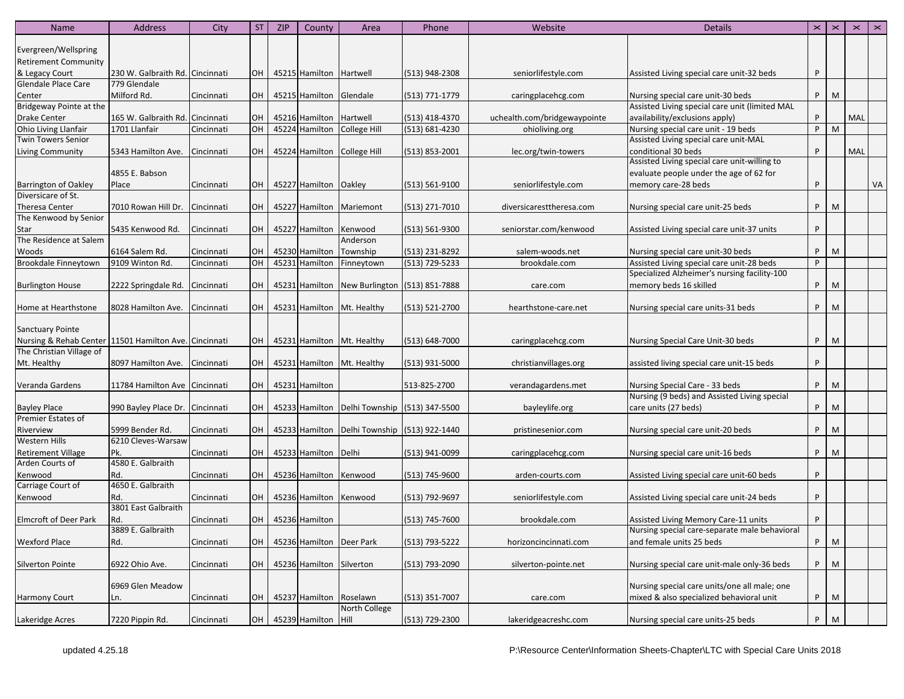| Evergreen/Wellspring<br><b>Retirement Community</b><br>& Legacy Court<br>230 W. Galbraith Rd. Cincinnati<br>OH<br>45215 Hamilton Hartwell<br>(513) 948-2308<br>Assisted Living special care unit-32 beds<br>P<br>seniorlifestyle.com<br>Glendale Place Care<br>779 Glendale<br>M<br>Milford Rd.<br>OH<br>45215 Hamilton Glendale<br>(513) 771-1779<br>Nursing special care unit-30 beds<br>P.<br>Cincinnati<br>Center<br>caringplacehcg.com<br>Bridgeway Pointe at the<br>Assisted Living special care unit (limited MAL<br>availability/exclusions apply)<br>MAL<br><b>Drake Center</b><br>165 W. Galbraith Rd. Cincinnati<br>OH<br>45216 Hamilton Hartwell<br>uchealth.com/bridgewaypointe<br>P<br>(513) 418-4370<br>P<br>M<br>Ohio Living Llanfair<br>OH<br>45224 Hamilton College Hill<br>Nursing special care unit - 19 beds<br>1701 Llanfair<br>Cincinnati<br>$(513) 681 - 4230$<br>ohioliving.org<br>Assisted Living special care unit-MAL<br><b>Twin Towers Senior</b><br>conditional 30 beds<br>MAL<br>OH<br>45224 Hamilton College Hill<br>P<br>5343 Hamilton Ave.<br>Cincinnati<br>$(513)$ 853-2001<br>lec.org/twin-towers<br>Assisted Living special care unit-willing to<br>4855 E. Babson<br>evaluate people under the age of 62 for<br>VA<br>OH<br>45227 Hamilton   Oakley<br>memory care-28 beds<br>P<br>Cincinnati<br>$(513) 561 - 9100$<br>seniorlifestyle.com<br>Place<br>OH<br>45227 Hamilton<br>P.<br>M<br>7010 Rowan Hill Dr.<br>Cincinnati<br>Mariemont<br>(513) 271-7010<br>diversicaresttheresa.com<br>Nursing special care unit-25 beds<br>45227 Hamilton<br>5435 Kenwood Rd.<br>OH<br>seniorstar.com/kenwood<br>Assisted Living special care unit-37 units<br>P<br>Cincinnati<br>Kenwood<br>(513) 561-9300<br>Anderson<br>Woods<br>6164 Salem Rd.<br>OH<br>45230 Hamilton<br>(513) 231-8292<br>P<br>M<br>Cincinnati<br>Township<br>salem-woods.net<br>Nursing special care unit-30 beds<br>OH<br>45231 Hamilton<br>Assisted Living special care unit-28 beds<br>Brookdale Finneytown<br>9109 Winton Rd.<br>(513) 729-5233<br>brookdale.com<br>P<br>Cincinnati<br>Finneytown<br>Specialized Alzheimer's nursing facility-100<br>OH<br>45231 Hamilton   New Burlington (513) 851-7888<br>memory beds 16 skilled<br>P<br>M<br><b>Burlington House</b><br>2222 Springdale Rd.<br>Cincinnati<br>care.com<br>8028 Hamilton Ave. Cincinnati<br>OH  <br>45231 Hamilton Mt. Healthy<br>(513) 521-2700<br>P.<br>M<br>Home at Hearthstone<br>Nursing special care units-31 beds<br>hearthstone-care.net<br><b>Sanctuary Pointe</b><br>Nursing & Rehab Center<br>OH<br>(513) 648-7000<br>P.<br>M<br>11501 Hamilton Ave. Cincinnati<br>45231 Hamilton Mt. Healthy<br>caringplacehcg.com<br>Nursing Special Care Unit-30 beds<br>The Christian Village of<br>P<br>OH<br>45231 Hamilton Mt. Healthy<br>Mt. Healthy<br>8097 Hamilton Ave.<br>Cincinnati<br>$(513)$ 931-5000<br>christianvillages.org<br>assisted living special care unit-15 beds<br>OH<br>45231 Hamilton<br>P.<br>M<br>Veranda Gardens<br>11784 Hamilton Ave Cincinnati<br>513-825-2700<br>verandagardens.met<br>Nursing Special Care - 33 beds<br>Nursing (9 beds) and Assisted Living special<br><b>Bayley Place</b><br>OH<br>45233 Hamilton Delhi Township (513) 347-5500<br>care units (27 beds)<br>P<br>M<br>990 Bayley Place Dr. Cincinnati<br>bayleylife.org<br>Premier Estates of<br>5999 Bender Rd.<br>Cincinnati<br>OH<br>45233 Hamilton   Delhi Township   (513) 922-1440<br>P.<br>M<br>Riverview<br>pristinesenior.com<br>Nursing special care unit-20 beds<br>6210 Cleves-Warsaw<br><b>Western Hills</b><br>OH<br>45233 Hamilton Delhi<br>P.<br>M<br><b>Retirement Village</b><br>Pk.<br>Cincinnati<br>(513) 941-0099<br>caringplacehcg.com<br>Nursing special care unit-16 beds<br>Arden Courts of<br>4580 E. Galbraith<br>Kenwood<br>Rd.<br>OH<br>45236 Hamilton Kenwood<br>Assisted Living special care unit-60 beds<br>P<br>Cincinnati<br>(513) 745-9600<br>arden-courts.com<br>4650 E. Galbraith<br>Carriage Court of<br>Rd.<br>Cincinnati<br>OH  <br>45236 Hamilton Kenwood<br>(513) 792-9697<br>Assisted Living special care unit-24 beds<br>seniorlifestyle.com<br>P<br>3801 East Galbraith<br>OH  <br>45236 Hamilton<br>P<br>Rd.<br>Cincinnati<br>(513) 745-7600<br>brookdale.com<br>Assisted Living Memory Care-11 units<br>3889 E. Galbraith<br>Nursing special care-separate male behavioral<br>OH 45236 Hamilton Deer Park<br>P.<br>M<br>(513) 793-5222<br>Rd.<br>Cincinnati<br>horizoncincinnati.com<br>and female units 25 beds<br>6922 Ohio Ave.<br>Cincinnati<br>OH<br>45236 Hamilton Silverton<br>(513) 793-2090<br>silverton-pointe.net<br>Nursing special care unit-male only-36 beds<br>P.<br>M<br>Nursing special care units/one all male; one<br>6969 Glen Meadow<br>mixed & also specialized behavioral unit<br><b>Harmony Court</b><br>45237 Hamilton Roselawn<br>(513) 351-7007<br>P<br>M<br>Cincinnati<br>OH<br>care.com<br>Ln.<br>North College<br>OH 45239 Hamilton Hill<br>(513) 729-2300<br>Nursing special care units-25 beds<br>P<br>M<br>Lakeridge Acres<br>7220 Pippin Rd.<br>Cincinnati<br>lakeridgeacreshc.com | <b>Name</b>                  | <b>Address</b> | City | ST. | <b>ZIP</b> | County | Area | Phone | Website | <b>Details</b> | $\pmb{\times}$ | $\pmb{\times}$ | $\mathbf{\times}$ | $\pmb{\times}$ |
|----------------------------------------------------------------------------------------------------------------------------------------------------------------------------------------------------------------------------------------------------------------------------------------------------------------------------------------------------------------------------------------------------------------------------------------------------------------------------------------------------------------------------------------------------------------------------------------------------------------------------------------------------------------------------------------------------------------------------------------------------------------------------------------------------------------------------------------------------------------------------------------------------------------------------------------------------------------------------------------------------------------------------------------------------------------------------------------------------------------------------------------------------------------------------------------------------------------------------------------------------------------------------------------------------------------------------------------------------------------------------------------------------------------------------------------------------------------------------------------------------------------------------------------------------------------------------------------------------------------------------------------------------------------------------------------------------------------------------------------------------------------------------------------------------------------------------------------------------------------------------------------------------------------------------------------------------------------------------------------------------------------------------------------------------------------------------------------------------------------------------------------------------------------------------------------------------------------------------------------------------------------------------------------------------------------------------------------------------------------------------------------------------------------------------------------------------------------------------------------------------------------------------------------------------------------------------------------------------------------------------------------------------------------------------------------------------------------------------------------------------------------------------------------------------------------------------------------------------------------------------------------------------------------------------------------------------------------------------------------------------------------------------------------------------------------------------------------------------------------------------------------------------------------------------------------------------------------------------------------------------------------------------------------------------------------------------------------------------------------------------------------------------------------------------------------------------------------------------------------------------------------------------------------------------------------------------------------------------------------------------------------------------------------------------------------------------------------------------------------------------------------------------------------------------------------------------------------------------------------------------------------------------------------------------------------------------------------------------------------------------------------------------------------------------------------------------------------------------------------------------------------------------------------------------------------------------------------------------------------------------------------------------------------------------------------------------------------------------------------------------------------------------------------------------------------------------------------------------------------------------------------------------------------------------------------------------------------------------------------------------------------------------------------------------------------------------------------------------------------------------------------------------------------------------------------------------------------------------------------------------------------------------------------------------------------------------------------------------------------------------------------------------------------------------------------------------------------------------------------------------------------------|------------------------------|----------------|------|-----|------------|--------|------|-------|---------|----------------|----------------|----------------|-------------------|----------------|
|                                                                                                                                                                                                                                                                                                                                                                                                                                                                                                                                                                                                                                                                                                                                                                                                                                                                                                                                                                                                                                                                                                                                                                                                                                                                                                                                                                                                                                                                                                                                                                                                                                                                                                                                                                                                                                                                                                                                                                                                                                                                                                                                                                                                                                                                                                                                                                                                                                                                                                                                                                                                                                                                                                                                                                                                                                                                                                                                                                                                                                                                                                                                                                                                                                                                                                                                                                                                                                                                                                                                                                                                                                                                                                                                                                                                                                                                                                                                                                                                                                                                                                                                                                                                                                                                                                                                                                                                                                                                                                                                                                                                                                                                                                                                                                                                                                                                                                                                                                                                                                                                                                                                              |                              |                |      |     |            |        |      |       |         |                |                |                |                   |                |
|                                                                                                                                                                                                                                                                                                                                                                                                                                                                                                                                                                                                                                                                                                                                                                                                                                                                                                                                                                                                                                                                                                                                                                                                                                                                                                                                                                                                                                                                                                                                                                                                                                                                                                                                                                                                                                                                                                                                                                                                                                                                                                                                                                                                                                                                                                                                                                                                                                                                                                                                                                                                                                                                                                                                                                                                                                                                                                                                                                                                                                                                                                                                                                                                                                                                                                                                                                                                                                                                                                                                                                                                                                                                                                                                                                                                                                                                                                                                                                                                                                                                                                                                                                                                                                                                                                                                                                                                                                                                                                                                                                                                                                                                                                                                                                                                                                                                                                                                                                                                                                                                                                                                              |                              |                |      |     |            |        |      |       |         |                |                |                |                   |                |
|                                                                                                                                                                                                                                                                                                                                                                                                                                                                                                                                                                                                                                                                                                                                                                                                                                                                                                                                                                                                                                                                                                                                                                                                                                                                                                                                                                                                                                                                                                                                                                                                                                                                                                                                                                                                                                                                                                                                                                                                                                                                                                                                                                                                                                                                                                                                                                                                                                                                                                                                                                                                                                                                                                                                                                                                                                                                                                                                                                                                                                                                                                                                                                                                                                                                                                                                                                                                                                                                                                                                                                                                                                                                                                                                                                                                                                                                                                                                                                                                                                                                                                                                                                                                                                                                                                                                                                                                                                                                                                                                                                                                                                                                                                                                                                                                                                                                                                                                                                                                                                                                                                                                              |                              |                |      |     |            |        |      |       |         |                |                |                |                   |                |
|                                                                                                                                                                                                                                                                                                                                                                                                                                                                                                                                                                                                                                                                                                                                                                                                                                                                                                                                                                                                                                                                                                                                                                                                                                                                                                                                                                                                                                                                                                                                                                                                                                                                                                                                                                                                                                                                                                                                                                                                                                                                                                                                                                                                                                                                                                                                                                                                                                                                                                                                                                                                                                                                                                                                                                                                                                                                                                                                                                                                                                                                                                                                                                                                                                                                                                                                                                                                                                                                                                                                                                                                                                                                                                                                                                                                                                                                                                                                                                                                                                                                                                                                                                                                                                                                                                                                                                                                                                                                                                                                                                                                                                                                                                                                                                                                                                                                                                                                                                                                                                                                                                                                              |                              |                |      |     |            |        |      |       |         |                |                |                |                   |                |
|                                                                                                                                                                                                                                                                                                                                                                                                                                                                                                                                                                                                                                                                                                                                                                                                                                                                                                                                                                                                                                                                                                                                                                                                                                                                                                                                                                                                                                                                                                                                                                                                                                                                                                                                                                                                                                                                                                                                                                                                                                                                                                                                                                                                                                                                                                                                                                                                                                                                                                                                                                                                                                                                                                                                                                                                                                                                                                                                                                                                                                                                                                                                                                                                                                                                                                                                                                                                                                                                                                                                                                                                                                                                                                                                                                                                                                                                                                                                                                                                                                                                                                                                                                                                                                                                                                                                                                                                                                                                                                                                                                                                                                                                                                                                                                                                                                                                                                                                                                                                                                                                                                                                              |                              |                |      |     |            |        |      |       |         |                |                |                |                   |                |
|                                                                                                                                                                                                                                                                                                                                                                                                                                                                                                                                                                                                                                                                                                                                                                                                                                                                                                                                                                                                                                                                                                                                                                                                                                                                                                                                                                                                                                                                                                                                                                                                                                                                                                                                                                                                                                                                                                                                                                                                                                                                                                                                                                                                                                                                                                                                                                                                                                                                                                                                                                                                                                                                                                                                                                                                                                                                                                                                                                                                                                                                                                                                                                                                                                                                                                                                                                                                                                                                                                                                                                                                                                                                                                                                                                                                                                                                                                                                                                                                                                                                                                                                                                                                                                                                                                                                                                                                                                                                                                                                                                                                                                                                                                                                                                                                                                                                                                                                                                                                                                                                                                                                              |                              |                |      |     |            |        |      |       |         |                |                |                |                   |                |
|                                                                                                                                                                                                                                                                                                                                                                                                                                                                                                                                                                                                                                                                                                                                                                                                                                                                                                                                                                                                                                                                                                                                                                                                                                                                                                                                                                                                                                                                                                                                                                                                                                                                                                                                                                                                                                                                                                                                                                                                                                                                                                                                                                                                                                                                                                                                                                                                                                                                                                                                                                                                                                                                                                                                                                                                                                                                                                                                                                                                                                                                                                                                                                                                                                                                                                                                                                                                                                                                                                                                                                                                                                                                                                                                                                                                                                                                                                                                                                                                                                                                                                                                                                                                                                                                                                                                                                                                                                                                                                                                                                                                                                                                                                                                                                                                                                                                                                                                                                                                                                                                                                                                              |                              |                |      |     |            |        |      |       |         |                |                |                |                   |                |
|                                                                                                                                                                                                                                                                                                                                                                                                                                                                                                                                                                                                                                                                                                                                                                                                                                                                                                                                                                                                                                                                                                                                                                                                                                                                                                                                                                                                                                                                                                                                                                                                                                                                                                                                                                                                                                                                                                                                                                                                                                                                                                                                                                                                                                                                                                                                                                                                                                                                                                                                                                                                                                                                                                                                                                                                                                                                                                                                                                                                                                                                                                                                                                                                                                                                                                                                                                                                                                                                                                                                                                                                                                                                                                                                                                                                                                                                                                                                                                                                                                                                                                                                                                                                                                                                                                                                                                                                                                                                                                                                                                                                                                                                                                                                                                                                                                                                                                                                                                                                                                                                                                                                              |                              |                |      |     |            |        |      |       |         |                |                |                |                   |                |
|                                                                                                                                                                                                                                                                                                                                                                                                                                                                                                                                                                                                                                                                                                                                                                                                                                                                                                                                                                                                                                                                                                                                                                                                                                                                                                                                                                                                                                                                                                                                                                                                                                                                                                                                                                                                                                                                                                                                                                                                                                                                                                                                                                                                                                                                                                                                                                                                                                                                                                                                                                                                                                                                                                                                                                                                                                                                                                                                                                                                                                                                                                                                                                                                                                                                                                                                                                                                                                                                                                                                                                                                                                                                                                                                                                                                                                                                                                                                                                                                                                                                                                                                                                                                                                                                                                                                                                                                                                                                                                                                                                                                                                                                                                                                                                                                                                                                                                                                                                                                                                                                                                                                              |                              |                |      |     |            |        |      |       |         |                |                |                |                   |                |
|                                                                                                                                                                                                                                                                                                                                                                                                                                                                                                                                                                                                                                                                                                                                                                                                                                                                                                                                                                                                                                                                                                                                                                                                                                                                                                                                                                                                                                                                                                                                                                                                                                                                                                                                                                                                                                                                                                                                                                                                                                                                                                                                                                                                                                                                                                                                                                                                                                                                                                                                                                                                                                                                                                                                                                                                                                                                                                                                                                                                                                                                                                                                                                                                                                                                                                                                                                                                                                                                                                                                                                                                                                                                                                                                                                                                                                                                                                                                                                                                                                                                                                                                                                                                                                                                                                                                                                                                                                                                                                                                                                                                                                                                                                                                                                                                                                                                                                                                                                                                                                                                                                                                              |                              |                |      |     |            |        |      |       |         |                |                |                |                   |                |
|                                                                                                                                                                                                                                                                                                                                                                                                                                                                                                                                                                                                                                                                                                                                                                                                                                                                                                                                                                                                                                                                                                                                                                                                                                                                                                                                                                                                                                                                                                                                                                                                                                                                                                                                                                                                                                                                                                                                                                                                                                                                                                                                                                                                                                                                                                                                                                                                                                                                                                                                                                                                                                                                                                                                                                                                                                                                                                                                                                                                                                                                                                                                                                                                                                                                                                                                                                                                                                                                                                                                                                                                                                                                                                                                                                                                                                                                                                                                                                                                                                                                                                                                                                                                                                                                                                                                                                                                                                                                                                                                                                                                                                                                                                                                                                                                                                                                                                                                                                                                                                                                                                                                              | <b>Living Community</b>      |                |      |     |            |        |      |       |         |                |                |                |                   |                |
|                                                                                                                                                                                                                                                                                                                                                                                                                                                                                                                                                                                                                                                                                                                                                                                                                                                                                                                                                                                                                                                                                                                                                                                                                                                                                                                                                                                                                                                                                                                                                                                                                                                                                                                                                                                                                                                                                                                                                                                                                                                                                                                                                                                                                                                                                                                                                                                                                                                                                                                                                                                                                                                                                                                                                                                                                                                                                                                                                                                                                                                                                                                                                                                                                                                                                                                                                                                                                                                                                                                                                                                                                                                                                                                                                                                                                                                                                                                                                                                                                                                                                                                                                                                                                                                                                                                                                                                                                                                                                                                                                                                                                                                                                                                                                                                                                                                                                                                                                                                                                                                                                                                                              |                              |                |      |     |            |        |      |       |         |                |                |                |                   |                |
|                                                                                                                                                                                                                                                                                                                                                                                                                                                                                                                                                                                                                                                                                                                                                                                                                                                                                                                                                                                                                                                                                                                                                                                                                                                                                                                                                                                                                                                                                                                                                                                                                                                                                                                                                                                                                                                                                                                                                                                                                                                                                                                                                                                                                                                                                                                                                                                                                                                                                                                                                                                                                                                                                                                                                                                                                                                                                                                                                                                                                                                                                                                                                                                                                                                                                                                                                                                                                                                                                                                                                                                                                                                                                                                                                                                                                                                                                                                                                                                                                                                                                                                                                                                                                                                                                                                                                                                                                                                                                                                                                                                                                                                                                                                                                                                                                                                                                                                                                                                                                                                                                                                                              |                              |                |      |     |            |        |      |       |         |                |                |                |                   |                |
|                                                                                                                                                                                                                                                                                                                                                                                                                                                                                                                                                                                                                                                                                                                                                                                                                                                                                                                                                                                                                                                                                                                                                                                                                                                                                                                                                                                                                                                                                                                                                                                                                                                                                                                                                                                                                                                                                                                                                                                                                                                                                                                                                                                                                                                                                                                                                                                                                                                                                                                                                                                                                                                                                                                                                                                                                                                                                                                                                                                                                                                                                                                                                                                                                                                                                                                                                                                                                                                                                                                                                                                                                                                                                                                                                                                                                                                                                                                                                                                                                                                                                                                                                                                                                                                                                                                                                                                                                                                                                                                                                                                                                                                                                                                                                                                                                                                                                                                                                                                                                                                                                                                                              | <b>Barrington of Oakley</b>  |                |      |     |            |        |      |       |         |                |                |                |                   |                |
|                                                                                                                                                                                                                                                                                                                                                                                                                                                                                                                                                                                                                                                                                                                                                                                                                                                                                                                                                                                                                                                                                                                                                                                                                                                                                                                                                                                                                                                                                                                                                                                                                                                                                                                                                                                                                                                                                                                                                                                                                                                                                                                                                                                                                                                                                                                                                                                                                                                                                                                                                                                                                                                                                                                                                                                                                                                                                                                                                                                                                                                                                                                                                                                                                                                                                                                                                                                                                                                                                                                                                                                                                                                                                                                                                                                                                                                                                                                                                                                                                                                                                                                                                                                                                                                                                                                                                                                                                                                                                                                                                                                                                                                                                                                                                                                                                                                                                                                                                                                                                                                                                                                                              | Diversicare of St.           |                |      |     |            |        |      |       |         |                |                |                |                   |                |
|                                                                                                                                                                                                                                                                                                                                                                                                                                                                                                                                                                                                                                                                                                                                                                                                                                                                                                                                                                                                                                                                                                                                                                                                                                                                                                                                                                                                                                                                                                                                                                                                                                                                                                                                                                                                                                                                                                                                                                                                                                                                                                                                                                                                                                                                                                                                                                                                                                                                                                                                                                                                                                                                                                                                                                                                                                                                                                                                                                                                                                                                                                                                                                                                                                                                                                                                                                                                                                                                                                                                                                                                                                                                                                                                                                                                                                                                                                                                                                                                                                                                                                                                                                                                                                                                                                                                                                                                                                                                                                                                                                                                                                                                                                                                                                                                                                                                                                                                                                                                                                                                                                                                              | <b>Theresa Center</b>        |                |      |     |            |        |      |       |         |                |                |                |                   |                |
|                                                                                                                                                                                                                                                                                                                                                                                                                                                                                                                                                                                                                                                                                                                                                                                                                                                                                                                                                                                                                                                                                                                                                                                                                                                                                                                                                                                                                                                                                                                                                                                                                                                                                                                                                                                                                                                                                                                                                                                                                                                                                                                                                                                                                                                                                                                                                                                                                                                                                                                                                                                                                                                                                                                                                                                                                                                                                                                                                                                                                                                                                                                                                                                                                                                                                                                                                                                                                                                                                                                                                                                                                                                                                                                                                                                                                                                                                                                                                                                                                                                                                                                                                                                                                                                                                                                                                                                                                                                                                                                                                                                                                                                                                                                                                                                                                                                                                                                                                                                                                                                                                                                                              | The Kenwood by Senior        |                |      |     |            |        |      |       |         |                |                |                |                   |                |
|                                                                                                                                                                                                                                                                                                                                                                                                                                                                                                                                                                                                                                                                                                                                                                                                                                                                                                                                                                                                                                                                                                                                                                                                                                                                                                                                                                                                                                                                                                                                                                                                                                                                                                                                                                                                                                                                                                                                                                                                                                                                                                                                                                                                                                                                                                                                                                                                                                                                                                                                                                                                                                                                                                                                                                                                                                                                                                                                                                                                                                                                                                                                                                                                                                                                                                                                                                                                                                                                                                                                                                                                                                                                                                                                                                                                                                                                                                                                                                                                                                                                                                                                                                                                                                                                                                                                                                                                                                                                                                                                                                                                                                                                                                                                                                                                                                                                                                                                                                                                                                                                                                                                              | <b>Star</b>                  |                |      |     |            |        |      |       |         |                |                |                |                   |                |
|                                                                                                                                                                                                                                                                                                                                                                                                                                                                                                                                                                                                                                                                                                                                                                                                                                                                                                                                                                                                                                                                                                                                                                                                                                                                                                                                                                                                                                                                                                                                                                                                                                                                                                                                                                                                                                                                                                                                                                                                                                                                                                                                                                                                                                                                                                                                                                                                                                                                                                                                                                                                                                                                                                                                                                                                                                                                                                                                                                                                                                                                                                                                                                                                                                                                                                                                                                                                                                                                                                                                                                                                                                                                                                                                                                                                                                                                                                                                                                                                                                                                                                                                                                                                                                                                                                                                                                                                                                                                                                                                                                                                                                                                                                                                                                                                                                                                                                                                                                                                                                                                                                                                              | The Residence at Salem       |                |      |     |            |        |      |       |         |                |                |                |                   |                |
|                                                                                                                                                                                                                                                                                                                                                                                                                                                                                                                                                                                                                                                                                                                                                                                                                                                                                                                                                                                                                                                                                                                                                                                                                                                                                                                                                                                                                                                                                                                                                                                                                                                                                                                                                                                                                                                                                                                                                                                                                                                                                                                                                                                                                                                                                                                                                                                                                                                                                                                                                                                                                                                                                                                                                                                                                                                                                                                                                                                                                                                                                                                                                                                                                                                                                                                                                                                                                                                                                                                                                                                                                                                                                                                                                                                                                                                                                                                                                                                                                                                                                                                                                                                                                                                                                                                                                                                                                                                                                                                                                                                                                                                                                                                                                                                                                                                                                                                                                                                                                                                                                                                                              |                              |                |      |     |            |        |      |       |         |                |                |                |                   |                |
|                                                                                                                                                                                                                                                                                                                                                                                                                                                                                                                                                                                                                                                                                                                                                                                                                                                                                                                                                                                                                                                                                                                                                                                                                                                                                                                                                                                                                                                                                                                                                                                                                                                                                                                                                                                                                                                                                                                                                                                                                                                                                                                                                                                                                                                                                                                                                                                                                                                                                                                                                                                                                                                                                                                                                                                                                                                                                                                                                                                                                                                                                                                                                                                                                                                                                                                                                                                                                                                                                                                                                                                                                                                                                                                                                                                                                                                                                                                                                                                                                                                                                                                                                                                                                                                                                                                                                                                                                                                                                                                                                                                                                                                                                                                                                                                                                                                                                                                                                                                                                                                                                                                                              |                              |                |      |     |            |        |      |       |         |                |                |                |                   |                |
|                                                                                                                                                                                                                                                                                                                                                                                                                                                                                                                                                                                                                                                                                                                                                                                                                                                                                                                                                                                                                                                                                                                                                                                                                                                                                                                                                                                                                                                                                                                                                                                                                                                                                                                                                                                                                                                                                                                                                                                                                                                                                                                                                                                                                                                                                                                                                                                                                                                                                                                                                                                                                                                                                                                                                                                                                                                                                                                                                                                                                                                                                                                                                                                                                                                                                                                                                                                                                                                                                                                                                                                                                                                                                                                                                                                                                                                                                                                                                                                                                                                                                                                                                                                                                                                                                                                                                                                                                                                                                                                                                                                                                                                                                                                                                                                                                                                                                                                                                                                                                                                                                                                                              |                              |                |      |     |            |        |      |       |         |                |                |                |                   |                |
|                                                                                                                                                                                                                                                                                                                                                                                                                                                                                                                                                                                                                                                                                                                                                                                                                                                                                                                                                                                                                                                                                                                                                                                                                                                                                                                                                                                                                                                                                                                                                                                                                                                                                                                                                                                                                                                                                                                                                                                                                                                                                                                                                                                                                                                                                                                                                                                                                                                                                                                                                                                                                                                                                                                                                                                                                                                                                                                                                                                                                                                                                                                                                                                                                                                                                                                                                                                                                                                                                                                                                                                                                                                                                                                                                                                                                                                                                                                                                                                                                                                                                                                                                                                                                                                                                                                                                                                                                                                                                                                                                                                                                                                                                                                                                                                                                                                                                                                                                                                                                                                                                                                                              |                              |                |      |     |            |        |      |       |         |                |                |                |                   |                |
|                                                                                                                                                                                                                                                                                                                                                                                                                                                                                                                                                                                                                                                                                                                                                                                                                                                                                                                                                                                                                                                                                                                                                                                                                                                                                                                                                                                                                                                                                                                                                                                                                                                                                                                                                                                                                                                                                                                                                                                                                                                                                                                                                                                                                                                                                                                                                                                                                                                                                                                                                                                                                                                                                                                                                                                                                                                                                                                                                                                                                                                                                                                                                                                                                                                                                                                                                                                                                                                                                                                                                                                                                                                                                                                                                                                                                                                                                                                                                                                                                                                                                                                                                                                                                                                                                                                                                                                                                                                                                                                                                                                                                                                                                                                                                                                                                                                                                                                                                                                                                                                                                                                                              |                              |                |      |     |            |        |      |       |         |                |                |                |                   |                |
|                                                                                                                                                                                                                                                                                                                                                                                                                                                                                                                                                                                                                                                                                                                                                                                                                                                                                                                                                                                                                                                                                                                                                                                                                                                                                                                                                                                                                                                                                                                                                                                                                                                                                                                                                                                                                                                                                                                                                                                                                                                                                                                                                                                                                                                                                                                                                                                                                                                                                                                                                                                                                                                                                                                                                                                                                                                                                                                                                                                                                                                                                                                                                                                                                                                                                                                                                                                                                                                                                                                                                                                                                                                                                                                                                                                                                                                                                                                                                                                                                                                                                                                                                                                                                                                                                                                                                                                                                                                                                                                                                                                                                                                                                                                                                                                                                                                                                                                                                                                                                                                                                                                                              |                              |                |      |     |            |        |      |       |         |                |                |                |                   |                |
|                                                                                                                                                                                                                                                                                                                                                                                                                                                                                                                                                                                                                                                                                                                                                                                                                                                                                                                                                                                                                                                                                                                                                                                                                                                                                                                                                                                                                                                                                                                                                                                                                                                                                                                                                                                                                                                                                                                                                                                                                                                                                                                                                                                                                                                                                                                                                                                                                                                                                                                                                                                                                                                                                                                                                                                                                                                                                                                                                                                                                                                                                                                                                                                                                                                                                                                                                                                                                                                                                                                                                                                                                                                                                                                                                                                                                                                                                                                                                                                                                                                                                                                                                                                                                                                                                                                                                                                                                                                                                                                                                                                                                                                                                                                                                                                                                                                                                                                                                                                                                                                                                                                                              |                              |                |      |     |            |        |      |       |         |                |                |                |                   |                |
|                                                                                                                                                                                                                                                                                                                                                                                                                                                                                                                                                                                                                                                                                                                                                                                                                                                                                                                                                                                                                                                                                                                                                                                                                                                                                                                                                                                                                                                                                                                                                                                                                                                                                                                                                                                                                                                                                                                                                                                                                                                                                                                                                                                                                                                                                                                                                                                                                                                                                                                                                                                                                                                                                                                                                                                                                                                                                                                                                                                                                                                                                                                                                                                                                                                                                                                                                                                                                                                                                                                                                                                                                                                                                                                                                                                                                                                                                                                                                                                                                                                                                                                                                                                                                                                                                                                                                                                                                                                                                                                                                                                                                                                                                                                                                                                                                                                                                                                                                                                                                                                                                                                                              |                              |                |      |     |            |        |      |       |         |                |                |                |                   |                |
|                                                                                                                                                                                                                                                                                                                                                                                                                                                                                                                                                                                                                                                                                                                                                                                                                                                                                                                                                                                                                                                                                                                                                                                                                                                                                                                                                                                                                                                                                                                                                                                                                                                                                                                                                                                                                                                                                                                                                                                                                                                                                                                                                                                                                                                                                                                                                                                                                                                                                                                                                                                                                                                                                                                                                                                                                                                                                                                                                                                                                                                                                                                                                                                                                                                                                                                                                                                                                                                                                                                                                                                                                                                                                                                                                                                                                                                                                                                                                                                                                                                                                                                                                                                                                                                                                                                                                                                                                                                                                                                                                                                                                                                                                                                                                                                                                                                                                                                                                                                                                                                                                                                                              |                              |                |      |     |            |        |      |       |         |                |                |                |                   |                |
|                                                                                                                                                                                                                                                                                                                                                                                                                                                                                                                                                                                                                                                                                                                                                                                                                                                                                                                                                                                                                                                                                                                                                                                                                                                                                                                                                                                                                                                                                                                                                                                                                                                                                                                                                                                                                                                                                                                                                                                                                                                                                                                                                                                                                                                                                                                                                                                                                                                                                                                                                                                                                                                                                                                                                                                                                                                                                                                                                                                                                                                                                                                                                                                                                                                                                                                                                                                                                                                                                                                                                                                                                                                                                                                                                                                                                                                                                                                                                                                                                                                                                                                                                                                                                                                                                                                                                                                                                                                                                                                                                                                                                                                                                                                                                                                                                                                                                                                                                                                                                                                                                                                                              |                              |                |      |     |            |        |      |       |         |                |                |                |                   |                |
|                                                                                                                                                                                                                                                                                                                                                                                                                                                                                                                                                                                                                                                                                                                                                                                                                                                                                                                                                                                                                                                                                                                                                                                                                                                                                                                                                                                                                                                                                                                                                                                                                                                                                                                                                                                                                                                                                                                                                                                                                                                                                                                                                                                                                                                                                                                                                                                                                                                                                                                                                                                                                                                                                                                                                                                                                                                                                                                                                                                                                                                                                                                                                                                                                                                                                                                                                                                                                                                                                                                                                                                                                                                                                                                                                                                                                                                                                                                                                                                                                                                                                                                                                                                                                                                                                                                                                                                                                                                                                                                                                                                                                                                                                                                                                                                                                                                                                                                                                                                                                                                                                                                                              |                              |                |      |     |            |        |      |       |         |                |                |                |                   |                |
|                                                                                                                                                                                                                                                                                                                                                                                                                                                                                                                                                                                                                                                                                                                                                                                                                                                                                                                                                                                                                                                                                                                                                                                                                                                                                                                                                                                                                                                                                                                                                                                                                                                                                                                                                                                                                                                                                                                                                                                                                                                                                                                                                                                                                                                                                                                                                                                                                                                                                                                                                                                                                                                                                                                                                                                                                                                                                                                                                                                                                                                                                                                                                                                                                                                                                                                                                                                                                                                                                                                                                                                                                                                                                                                                                                                                                                                                                                                                                                                                                                                                                                                                                                                                                                                                                                                                                                                                                                                                                                                                                                                                                                                                                                                                                                                                                                                                                                                                                                                                                                                                                                                                              |                              |                |      |     |            |        |      |       |         |                |                |                |                   |                |
|                                                                                                                                                                                                                                                                                                                                                                                                                                                                                                                                                                                                                                                                                                                                                                                                                                                                                                                                                                                                                                                                                                                                                                                                                                                                                                                                                                                                                                                                                                                                                                                                                                                                                                                                                                                                                                                                                                                                                                                                                                                                                                                                                                                                                                                                                                                                                                                                                                                                                                                                                                                                                                                                                                                                                                                                                                                                                                                                                                                                                                                                                                                                                                                                                                                                                                                                                                                                                                                                                                                                                                                                                                                                                                                                                                                                                                                                                                                                                                                                                                                                                                                                                                                                                                                                                                                                                                                                                                                                                                                                                                                                                                                                                                                                                                                                                                                                                                                                                                                                                                                                                                                                              |                              |                |      |     |            |        |      |       |         |                |                |                |                   |                |
|                                                                                                                                                                                                                                                                                                                                                                                                                                                                                                                                                                                                                                                                                                                                                                                                                                                                                                                                                                                                                                                                                                                                                                                                                                                                                                                                                                                                                                                                                                                                                                                                                                                                                                                                                                                                                                                                                                                                                                                                                                                                                                                                                                                                                                                                                                                                                                                                                                                                                                                                                                                                                                                                                                                                                                                                                                                                                                                                                                                                                                                                                                                                                                                                                                                                                                                                                                                                                                                                                                                                                                                                                                                                                                                                                                                                                                                                                                                                                                                                                                                                                                                                                                                                                                                                                                                                                                                                                                                                                                                                                                                                                                                                                                                                                                                                                                                                                                                                                                                                                                                                                                                                              |                              |                |      |     |            |        |      |       |         |                |                |                |                   |                |
|                                                                                                                                                                                                                                                                                                                                                                                                                                                                                                                                                                                                                                                                                                                                                                                                                                                                                                                                                                                                                                                                                                                                                                                                                                                                                                                                                                                                                                                                                                                                                                                                                                                                                                                                                                                                                                                                                                                                                                                                                                                                                                                                                                                                                                                                                                                                                                                                                                                                                                                                                                                                                                                                                                                                                                                                                                                                                                                                                                                                                                                                                                                                                                                                                                                                                                                                                                                                                                                                                                                                                                                                                                                                                                                                                                                                                                                                                                                                                                                                                                                                                                                                                                                                                                                                                                                                                                                                                                                                                                                                                                                                                                                                                                                                                                                                                                                                                                                                                                                                                                                                                                                                              |                              |                |      |     |            |        |      |       |         |                |                |                |                   |                |
|                                                                                                                                                                                                                                                                                                                                                                                                                                                                                                                                                                                                                                                                                                                                                                                                                                                                                                                                                                                                                                                                                                                                                                                                                                                                                                                                                                                                                                                                                                                                                                                                                                                                                                                                                                                                                                                                                                                                                                                                                                                                                                                                                                                                                                                                                                                                                                                                                                                                                                                                                                                                                                                                                                                                                                                                                                                                                                                                                                                                                                                                                                                                                                                                                                                                                                                                                                                                                                                                                                                                                                                                                                                                                                                                                                                                                                                                                                                                                                                                                                                                                                                                                                                                                                                                                                                                                                                                                                                                                                                                                                                                                                                                                                                                                                                                                                                                                                                                                                                                                                                                                                                                              |                              |                |      |     |            |        |      |       |         |                |                |                |                   |                |
|                                                                                                                                                                                                                                                                                                                                                                                                                                                                                                                                                                                                                                                                                                                                                                                                                                                                                                                                                                                                                                                                                                                                                                                                                                                                                                                                                                                                                                                                                                                                                                                                                                                                                                                                                                                                                                                                                                                                                                                                                                                                                                                                                                                                                                                                                                                                                                                                                                                                                                                                                                                                                                                                                                                                                                                                                                                                                                                                                                                                                                                                                                                                                                                                                                                                                                                                                                                                                                                                                                                                                                                                                                                                                                                                                                                                                                                                                                                                                                                                                                                                                                                                                                                                                                                                                                                                                                                                                                                                                                                                                                                                                                                                                                                                                                                                                                                                                                                                                                                                                                                                                                                                              |                              |                |      |     |            |        |      |       |         |                |                |                |                   |                |
|                                                                                                                                                                                                                                                                                                                                                                                                                                                                                                                                                                                                                                                                                                                                                                                                                                                                                                                                                                                                                                                                                                                                                                                                                                                                                                                                                                                                                                                                                                                                                                                                                                                                                                                                                                                                                                                                                                                                                                                                                                                                                                                                                                                                                                                                                                                                                                                                                                                                                                                                                                                                                                                                                                                                                                                                                                                                                                                                                                                                                                                                                                                                                                                                                                                                                                                                                                                                                                                                                                                                                                                                                                                                                                                                                                                                                                                                                                                                                                                                                                                                                                                                                                                                                                                                                                                                                                                                                                                                                                                                                                                                                                                                                                                                                                                                                                                                                                                                                                                                                                                                                                                                              |                              |                |      |     |            |        |      |       |         |                |                |                |                   |                |
|                                                                                                                                                                                                                                                                                                                                                                                                                                                                                                                                                                                                                                                                                                                                                                                                                                                                                                                                                                                                                                                                                                                                                                                                                                                                                                                                                                                                                                                                                                                                                                                                                                                                                                                                                                                                                                                                                                                                                                                                                                                                                                                                                                                                                                                                                                                                                                                                                                                                                                                                                                                                                                                                                                                                                                                                                                                                                                                                                                                                                                                                                                                                                                                                                                                                                                                                                                                                                                                                                                                                                                                                                                                                                                                                                                                                                                                                                                                                                                                                                                                                                                                                                                                                                                                                                                                                                                                                                                                                                                                                                                                                                                                                                                                                                                                                                                                                                                                                                                                                                                                                                                                                              |                              |                |      |     |            |        |      |       |         |                |                |                |                   |                |
|                                                                                                                                                                                                                                                                                                                                                                                                                                                                                                                                                                                                                                                                                                                                                                                                                                                                                                                                                                                                                                                                                                                                                                                                                                                                                                                                                                                                                                                                                                                                                                                                                                                                                                                                                                                                                                                                                                                                                                                                                                                                                                                                                                                                                                                                                                                                                                                                                                                                                                                                                                                                                                                                                                                                                                                                                                                                                                                                                                                                                                                                                                                                                                                                                                                                                                                                                                                                                                                                                                                                                                                                                                                                                                                                                                                                                                                                                                                                                                                                                                                                                                                                                                                                                                                                                                                                                                                                                                                                                                                                                                                                                                                                                                                                                                                                                                                                                                                                                                                                                                                                                                                                              |                              |                |      |     |            |        |      |       |         |                |                |                |                   |                |
|                                                                                                                                                                                                                                                                                                                                                                                                                                                                                                                                                                                                                                                                                                                                                                                                                                                                                                                                                                                                                                                                                                                                                                                                                                                                                                                                                                                                                                                                                                                                                                                                                                                                                                                                                                                                                                                                                                                                                                                                                                                                                                                                                                                                                                                                                                                                                                                                                                                                                                                                                                                                                                                                                                                                                                                                                                                                                                                                                                                                                                                                                                                                                                                                                                                                                                                                                                                                                                                                                                                                                                                                                                                                                                                                                                                                                                                                                                                                                                                                                                                                                                                                                                                                                                                                                                                                                                                                                                                                                                                                                                                                                                                                                                                                                                                                                                                                                                                                                                                                                                                                                                                                              |                              |                |      |     |            |        |      |       |         |                |                |                |                   |                |
|                                                                                                                                                                                                                                                                                                                                                                                                                                                                                                                                                                                                                                                                                                                                                                                                                                                                                                                                                                                                                                                                                                                                                                                                                                                                                                                                                                                                                                                                                                                                                                                                                                                                                                                                                                                                                                                                                                                                                                                                                                                                                                                                                                                                                                                                                                                                                                                                                                                                                                                                                                                                                                                                                                                                                                                                                                                                                                                                                                                                                                                                                                                                                                                                                                                                                                                                                                                                                                                                                                                                                                                                                                                                                                                                                                                                                                                                                                                                                                                                                                                                                                                                                                                                                                                                                                                                                                                                                                                                                                                                                                                                                                                                                                                                                                                                                                                                                                                                                                                                                                                                                                                                              |                              |                |      |     |            |        |      |       |         |                |                |                |                   |                |
|                                                                                                                                                                                                                                                                                                                                                                                                                                                                                                                                                                                                                                                                                                                                                                                                                                                                                                                                                                                                                                                                                                                                                                                                                                                                                                                                                                                                                                                                                                                                                                                                                                                                                                                                                                                                                                                                                                                                                                                                                                                                                                                                                                                                                                                                                                                                                                                                                                                                                                                                                                                                                                                                                                                                                                                                                                                                                                                                                                                                                                                                                                                                                                                                                                                                                                                                                                                                                                                                                                                                                                                                                                                                                                                                                                                                                                                                                                                                                                                                                                                                                                                                                                                                                                                                                                                                                                                                                                                                                                                                                                                                                                                                                                                                                                                                                                                                                                                                                                                                                                                                                                                                              |                              |                |      |     |            |        |      |       |         |                |                |                |                   |                |
|                                                                                                                                                                                                                                                                                                                                                                                                                                                                                                                                                                                                                                                                                                                                                                                                                                                                                                                                                                                                                                                                                                                                                                                                                                                                                                                                                                                                                                                                                                                                                                                                                                                                                                                                                                                                                                                                                                                                                                                                                                                                                                                                                                                                                                                                                                                                                                                                                                                                                                                                                                                                                                                                                                                                                                                                                                                                                                                                                                                                                                                                                                                                                                                                                                                                                                                                                                                                                                                                                                                                                                                                                                                                                                                                                                                                                                                                                                                                                                                                                                                                                                                                                                                                                                                                                                                                                                                                                                                                                                                                                                                                                                                                                                                                                                                                                                                                                                                                                                                                                                                                                                                                              | Kenwood                      |                |      |     |            |        |      |       |         |                |                |                |                   |                |
|                                                                                                                                                                                                                                                                                                                                                                                                                                                                                                                                                                                                                                                                                                                                                                                                                                                                                                                                                                                                                                                                                                                                                                                                                                                                                                                                                                                                                                                                                                                                                                                                                                                                                                                                                                                                                                                                                                                                                                                                                                                                                                                                                                                                                                                                                                                                                                                                                                                                                                                                                                                                                                                                                                                                                                                                                                                                                                                                                                                                                                                                                                                                                                                                                                                                                                                                                                                                                                                                                                                                                                                                                                                                                                                                                                                                                                                                                                                                                                                                                                                                                                                                                                                                                                                                                                                                                                                                                                                                                                                                                                                                                                                                                                                                                                                                                                                                                                                                                                                                                                                                                                                                              |                              |                |      |     |            |        |      |       |         |                |                |                |                   |                |
|                                                                                                                                                                                                                                                                                                                                                                                                                                                                                                                                                                                                                                                                                                                                                                                                                                                                                                                                                                                                                                                                                                                                                                                                                                                                                                                                                                                                                                                                                                                                                                                                                                                                                                                                                                                                                                                                                                                                                                                                                                                                                                                                                                                                                                                                                                                                                                                                                                                                                                                                                                                                                                                                                                                                                                                                                                                                                                                                                                                                                                                                                                                                                                                                                                                                                                                                                                                                                                                                                                                                                                                                                                                                                                                                                                                                                                                                                                                                                                                                                                                                                                                                                                                                                                                                                                                                                                                                                                                                                                                                                                                                                                                                                                                                                                                                                                                                                                                                                                                                                                                                                                                                              | <b>Elmcroft of Deer Park</b> |                |      |     |            |        |      |       |         |                |                |                |                   |                |
|                                                                                                                                                                                                                                                                                                                                                                                                                                                                                                                                                                                                                                                                                                                                                                                                                                                                                                                                                                                                                                                                                                                                                                                                                                                                                                                                                                                                                                                                                                                                                                                                                                                                                                                                                                                                                                                                                                                                                                                                                                                                                                                                                                                                                                                                                                                                                                                                                                                                                                                                                                                                                                                                                                                                                                                                                                                                                                                                                                                                                                                                                                                                                                                                                                                                                                                                                                                                                                                                                                                                                                                                                                                                                                                                                                                                                                                                                                                                                                                                                                                                                                                                                                                                                                                                                                                                                                                                                                                                                                                                                                                                                                                                                                                                                                                                                                                                                                                                                                                                                                                                                                                                              |                              |                |      |     |            |        |      |       |         |                |                |                |                   |                |
|                                                                                                                                                                                                                                                                                                                                                                                                                                                                                                                                                                                                                                                                                                                                                                                                                                                                                                                                                                                                                                                                                                                                                                                                                                                                                                                                                                                                                                                                                                                                                                                                                                                                                                                                                                                                                                                                                                                                                                                                                                                                                                                                                                                                                                                                                                                                                                                                                                                                                                                                                                                                                                                                                                                                                                                                                                                                                                                                                                                                                                                                                                                                                                                                                                                                                                                                                                                                                                                                                                                                                                                                                                                                                                                                                                                                                                                                                                                                                                                                                                                                                                                                                                                                                                                                                                                                                                                                                                                                                                                                                                                                                                                                                                                                                                                                                                                                                                                                                                                                                                                                                                                                              | <b>Wexford Place</b>         |                |      |     |            |        |      |       |         |                |                |                |                   |                |
|                                                                                                                                                                                                                                                                                                                                                                                                                                                                                                                                                                                                                                                                                                                                                                                                                                                                                                                                                                                                                                                                                                                                                                                                                                                                                                                                                                                                                                                                                                                                                                                                                                                                                                                                                                                                                                                                                                                                                                                                                                                                                                                                                                                                                                                                                                                                                                                                                                                                                                                                                                                                                                                                                                                                                                                                                                                                                                                                                                                                                                                                                                                                                                                                                                                                                                                                                                                                                                                                                                                                                                                                                                                                                                                                                                                                                                                                                                                                                                                                                                                                                                                                                                                                                                                                                                                                                                                                                                                                                                                                                                                                                                                                                                                                                                                                                                                                                                                                                                                                                                                                                                                                              |                              |                |      |     |            |        |      |       |         |                |                |                |                   |                |
|                                                                                                                                                                                                                                                                                                                                                                                                                                                                                                                                                                                                                                                                                                                                                                                                                                                                                                                                                                                                                                                                                                                                                                                                                                                                                                                                                                                                                                                                                                                                                                                                                                                                                                                                                                                                                                                                                                                                                                                                                                                                                                                                                                                                                                                                                                                                                                                                                                                                                                                                                                                                                                                                                                                                                                                                                                                                                                                                                                                                                                                                                                                                                                                                                                                                                                                                                                                                                                                                                                                                                                                                                                                                                                                                                                                                                                                                                                                                                                                                                                                                                                                                                                                                                                                                                                                                                                                                                                                                                                                                                                                                                                                                                                                                                                                                                                                                                                                                                                                                                                                                                                                                              | Silverton Pointe             |                |      |     |            |        |      |       |         |                |                |                |                   |                |
|                                                                                                                                                                                                                                                                                                                                                                                                                                                                                                                                                                                                                                                                                                                                                                                                                                                                                                                                                                                                                                                                                                                                                                                                                                                                                                                                                                                                                                                                                                                                                                                                                                                                                                                                                                                                                                                                                                                                                                                                                                                                                                                                                                                                                                                                                                                                                                                                                                                                                                                                                                                                                                                                                                                                                                                                                                                                                                                                                                                                                                                                                                                                                                                                                                                                                                                                                                                                                                                                                                                                                                                                                                                                                                                                                                                                                                                                                                                                                                                                                                                                                                                                                                                                                                                                                                                                                                                                                                                                                                                                                                                                                                                                                                                                                                                                                                                                                                                                                                                                                                                                                                                                              |                              |                |      |     |            |        |      |       |         |                |                |                |                   |                |
|                                                                                                                                                                                                                                                                                                                                                                                                                                                                                                                                                                                                                                                                                                                                                                                                                                                                                                                                                                                                                                                                                                                                                                                                                                                                                                                                                                                                                                                                                                                                                                                                                                                                                                                                                                                                                                                                                                                                                                                                                                                                                                                                                                                                                                                                                                                                                                                                                                                                                                                                                                                                                                                                                                                                                                                                                                                                                                                                                                                                                                                                                                                                                                                                                                                                                                                                                                                                                                                                                                                                                                                                                                                                                                                                                                                                                                                                                                                                                                                                                                                                                                                                                                                                                                                                                                                                                                                                                                                                                                                                                                                                                                                                                                                                                                                                                                                                                                                                                                                                                                                                                                                                              |                              |                |      |     |            |        |      |       |         |                |                |                |                   |                |
|                                                                                                                                                                                                                                                                                                                                                                                                                                                                                                                                                                                                                                                                                                                                                                                                                                                                                                                                                                                                                                                                                                                                                                                                                                                                                                                                                                                                                                                                                                                                                                                                                                                                                                                                                                                                                                                                                                                                                                                                                                                                                                                                                                                                                                                                                                                                                                                                                                                                                                                                                                                                                                                                                                                                                                                                                                                                                                                                                                                                                                                                                                                                                                                                                                                                                                                                                                                                                                                                                                                                                                                                                                                                                                                                                                                                                                                                                                                                                                                                                                                                                                                                                                                                                                                                                                                                                                                                                                                                                                                                                                                                                                                                                                                                                                                                                                                                                                                                                                                                                                                                                                                                              |                              |                |      |     |            |        |      |       |         |                |                |                |                   |                |
|                                                                                                                                                                                                                                                                                                                                                                                                                                                                                                                                                                                                                                                                                                                                                                                                                                                                                                                                                                                                                                                                                                                                                                                                                                                                                                                                                                                                                                                                                                                                                                                                                                                                                                                                                                                                                                                                                                                                                                                                                                                                                                                                                                                                                                                                                                                                                                                                                                                                                                                                                                                                                                                                                                                                                                                                                                                                                                                                                                                                                                                                                                                                                                                                                                                                                                                                                                                                                                                                                                                                                                                                                                                                                                                                                                                                                                                                                                                                                                                                                                                                                                                                                                                                                                                                                                                                                                                                                                                                                                                                                                                                                                                                                                                                                                                                                                                                                                                                                                                                                                                                                                                                              |                              |                |      |     |            |        |      |       |         |                |                |                |                   |                |
|                                                                                                                                                                                                                                                                                                                                                                                                                                                                                                                                                                                                                                                                                                                                                                                                                                                                                                                                                                                                                                                                                                                                                                                                                                                                                                                                                                                                                                                                                                                                                                                                                                                                                                                                                                                                                                                                                                                                                                                                                                                                                                                                                                                                                                                                                                                                                                                                                                                                                                                                                                                                                                                                                                                                                                                                                                                                                                                                                                                                                                                                                                                                                                                                                                                                                                                                                                                                                                                                                                                                                                                                                                                                                                                                                                                                                                                                                                                                                                                                                                                                                                                                                                                                                                                                                                                                                                                                                                                                                                                                                                                                                                                                                                                                                                                                                                                                                                                                                                                                                                                                                                                                              |                              |                |      |     |            |        |      |       |         |                |                |                |                   |                |